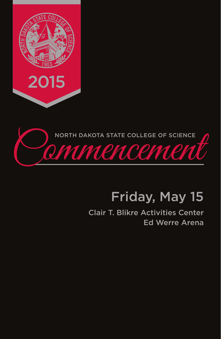



# Friday, May 15

Clair T. Blikre Activities Center Ed Werre Arena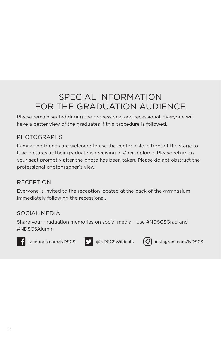# SPECIAL INFORMATION FOR THE GRADUATION AUDIENCE

Please remain seated during the processional and recessional. Everyone will have a better view of the graduates if this procedure is followed.

#### PHOTOGRAPHS

Family and friends are welcome to use the center aisle in front of the stage to take pictures as their graduate is receiving his/her diploma. Please return to your seat promptly after the photo has been taken. Please do not obstruct the professional photographer's view.

#### RECEPTION

Everyone is invited to the reception located at the back of the gymnasium immediately following the recessional.

#### SOCIAL MEDIA

Share your graduation memories on social media – use #NDSCSGrad and #NDSCSAlumni







f facebook.com/NDSCS **b** @NDSCSWildcats **O** instagram.com/NDSCS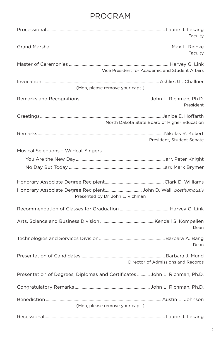# PROGRAM

|                                                                                                   | Faculty   |
|---------------------------------------------------------------------------------------------------|-----------|
|                                                                                                   | Faculty   |
| Vice President for Academic and Student Affairs                                                   |           |
| (Men, please remove your caps.)                                                                   |           |
|                                                                                                   | President |
| North Dakota State Board of Higher Education                                                      |           |
| President, Student Senate                                                                         |           |
| <b>Musical Selections - Wildcat Singers</b>                                                       |           |
| Honorary Associate Degree RecipientJohn D. Wall, posthumously<br>Presented by Dr. John L. Richman |           |
|                                                                                                   |           |
|                                                                                                   | Dean      |
|                                                                                                   | Dean      |
| Director of Admissions and Records                                                                |           |
| Presentation of Degrees, Diplomas and Certificates  John L. Richman, Ph.D.                        |           |
|                                                                                                   |           |
| (Men, please remove your caps.)                                                                   |           |
|                                                                                                   |           |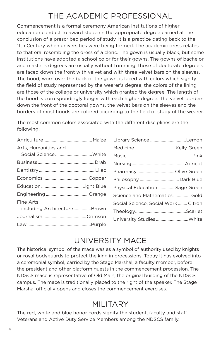# THE ACADEMIC PROFESSIONAL

Commencement is a formal ceremony American institutions of higher education conduct to award students the appropriate degree earned at the conclusion of a prescribed period of study. It is a practice dating back to the 11th Century when universities were being formed. The academic dress relates to that era, resembling the dress of a cleric. The gown is usually black, but some institutions have adopted a school color for their gowns. The gowns of bachelor and master's degrees are usually without trimming; those of doctorate degree's are faced down the front with velvet and with three velvet bars on the sleeves. The hood, worn over the back of the gown, is faced with colors which signify the field of study represented by the wearer's degree; the colors of the lining are those of the college or university which granted the degree. The length of the hood is correspondingly longer with each higher degree. The velvet borders down the front of the doctoral gowns, the velvet bars on the sleeves and the borders of most hoods are colored according to the field of study of the wearer.

The most common colors associated with the different disciplines are the following:

| Arts, Humanities and                     |  |
|------------------------------------------|--|
| Social ScienceWhite                      |  |
|                                          |  |
|                                          |  |
|                                          |  |
|                                          |  |
|                                          |  |
| Fine Arts<br>including ArchitectureBrown |  |
|                                          |  |
|                                          |  |
|                                          |  |

| Library Science Lemon               |  |
|-------------------------------------|--|
|                                     |  |
|                                     |  |
|                                     |  |
| Pharmacy Olive Green                |  |
| Philosophy  Dark Blue               |  |
| Physical Education  Sage Green      |  |
| Science and MathematicsGold         |  |
| Social Science, Social Work  Citron |  |
|                                     |  |
| University Studies White            |  |
|                                     |  |

### UNIVERSITY MACE

The historical symbol of the mace was as a symbol of authority used by knights or royal bodyguards to protect the king in processions. Today it has evolved into a ceremonial symbol, carried by the Stage Marshal, a faculty member, before the president and other platform guests in the commencement procession. The NDSCS mace is representative of Old Main, the original building of the NDSCS campus. The mace is traditionally placed to the right of the speaker. The Stage Marshal officially opens and closes the commencement exercises.

### MILITARY

The red, white and blue honor cords signify the student, faculty and staff Veterans and Active Duty Service Members among the NDSCS family.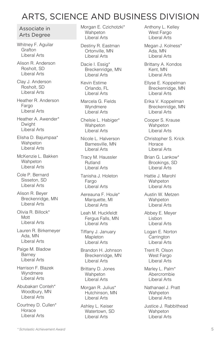# ARTS, SCIENCE AND BUSINESS DIVISION

#### Associate in Arts Degree

Whitney F. Aguilar **Grafton** Liberal Arts

Alison R. Anderson Rosholt, SD Liberal Arts

Clay J. Anderson Rosholt, SD Liberal Arts

Heather R. Anderson Fargo Liberal Arts

Heather A. Awender\* **Dwight** Liberal Arts

Elisha D. Bajumpaa\* **Wahpeton** Liberal Arts

McKenzie L. Bakken **Wahpeton** Liberal Arts

Cole P. Bernard Sisseton, SD Liberal Arts

Alison R. Beyer Breckenridge, MN Liberal Arts

Olivia R. Billock\* Mott Liberal Arts

Lauren R. Birkemeyer Ada, MN Liberal Arts

Paige M. Bladow Barney Liberal Arts

Harrison F. Blazek Wyndmere Liberal Arts

Abubakarr Conteh\* Woodbury, MN Liberal Arts

Courtney D. Cullen\* Horace Liberal Arts

Morgan E. Czichotzki\* **Wahpeton** Liberal Arts

Destiny R. Eastman Ortonville, MN Liberal Arts

Dacie I. Essig\* Breckenridge, MN Liberal Arts

Kevin Estime Orlando, FL Liberal Arts

Marcela G. Fields Wyndmere Liberal Arts

Chelsie L. Habiger\* **Wahpeton** Liberal Arts

Nicole L. Halverson Barnesville, MN Liberal Arts

Tracy M. Haussler Rutland Liberal Arts

Tanisha J. Holeton Fargo Liberal Arts

Aereauna F. Houle\* Marquette, MI Liberal Arts

Leah M. Huckfeldt Fergus Falls, MN Liberal Arts

Tiffany J. January Mapleton Liberal Arts

Brandon H. Johnson Breckenridge, MN Liberal Arts

Brittany D. Jones Wahpeton Liberal Arts

Morgan R. Julius\* Hutchinson, MN Liberal Arts

Ashley L. Keiser Watertown, SD Liberal Arts

Anthony L. Kelley West Fargo Liberal Arts

Megan J. Kolness\* Ada, MN Liberal Arts

Brittany A. Kondos Kent, MN Liberal Arts

Ellyse E. Koppelman Breckenridge, MN Liberal Arts

Erika V. Koppelman Breckenridge, MN Liberal Arts

Cooper S. Krause **Wahpeton** Liberal Arts

Christopher S. Krick Horace Liberal Arts

Brian G. Lankow\* Brookings, SD Liberal Arts

Hattie J. Marohl Wahpeton Liberal Arts

Austin W. Metzen Wahpeton Liberal Arts

Abbey E. Meyer Lisbon Liberal Arts

Logan E. Norton **Carrington** Liberal Arts

Trent R. Olson West Fargo Liberal Arts

Marley L. Palm\* Abercrombie Liberal Arts

Nathanael J. Pratt Wahpeton Liberal Arts

Justice J. Rabbithead **Wahpeton** Liberal Arts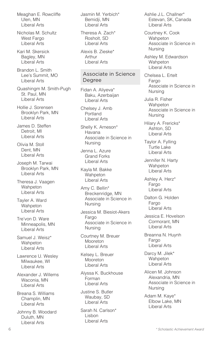Meaghan E. Rowcliffe Ulen, MN Liberal Arts

Nicholas M. Schultz West Fargo Liberal Arts

Kari M. Skersick Bagley, MN Liberal Arts

Brandon L. Smith Lee's Summit, MO Liberal Arts

Quashingm M. Smith-Pugh St. Paul, MN Liberal Arts

Hollie J. Sorensen Brooklyn Park, MN Liberal Arts

James D. Steffen Detroit, MI Liberal Arts

Olivia M. Stoll Dent, MN Liberal Arts

Joseph M. Tarwai Brooklyn Park, MN Liberal Arts

Theresa J. Vaagen **Wahpeton** Liberal Arts

Tayler A. Ward Wahpeton Liberal Arts

Tre'von D. Ware Minneapolis, MN Liberal Arts

Samuel J. Weisz\* **Wahpeton** Liberal Arts

Lawrence U. Wesley Milwaukee, WI Liberal Arts

Alexander J. Willems Waconia, MN Liberal Arts

Breana S. Williams Champlin, MN Liberal Arts

Johnny B. Woodard Duluth, MN Liberal Arts

Jasmin M. Yerbich\* Bemidji, MN Liberal Arts

Theresa A. Zach\* Rosholt, SD Liberal Arts

Alexis B. Zieske\* Arthur Liberal Arts

#### Associate in Science Degree

Fidan A. Aliyeva\* Baku, Azerbaijan Liberal Arts

Chelsey J. Amb Portland Liberal Arts

Shelly K. Arneson\* Havana Associate in Science in Nursing

Jenna L. Azure Grand Forks Liberal Arts

Kayla M. Bakke **Wahpeton** Liberal Arts

Amy C. Bellin\* Breckenridge, MN Associate in Science in Nursing

Jessica M. Biesiot-Akers Fargo Associate in Science in Nursing

Courtney M. Breuer Mooreton Liberal Arts

Kelsey L. Breuer **Mooreton** Liberal Arts

Alyssa K. Buckhouse Forman Liberal Arts

Justine S. Butler Waubay, SD Liberal Arts

Sarah N. Carlson\* Lisbon Liberal Arts

Ashlie J.L. Challner\* Estevan, SK, Canada Liberal Arts

Courtney K. Cook **Wahpeton** Associate in Science in Nursing

Ashley M. Edwardson **Wahpeton** Liberal Arts

Chelsea L. Ertelt Fargo Associate in Science in Nursing

Julia R. Fisher **Wahpeton** Associate in Science in Nursing

Hilary A. Frericks\* Ashton, SD Liberal Arts

Taylor A. Fylling Turtle Lake Liberal Arts

Jennifer N. Harty Wahpeton Liberal Arts

Ashley A. Herz\* Fargo Liberal Arts

Dalton G. Holden Fargo Liberal Arts

Jessica E. Hovelson Cormorant, MN Liberal Arts

Breanna N. Huynh Fargo Liberal Arts

Darcy M. Jilek\* **Wahpeton** Liberal Arts

Alicen M. Johnson Alexandria, MN Associate in Science in Nursing

Adam M. Kaye\* Elbow Lake, MN Liberal Arts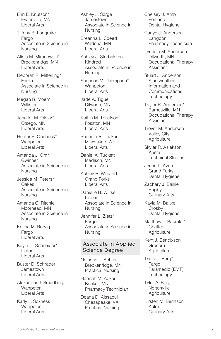Erin E. Knutson\* Evansville, MN Liberal Arts

Tiffeny R. Longmire Fargo Associate in Science in Nursing

Alicia M. Miranowski\* Breckenridge, MN Liberal Arts

Deborah R. Mitterling\* Fargo Associate in Science in Nursing

Megan R. Moen\* **Williston** Liberal Arts

Jennifer M. Olejar\* Otsego, MN Liberal Arts

Hunter P. Onchuck\* **Wahpeton** Liberal Arts

Amanda J. Orn\* Gwinner Associate in Science in Nursing

Jessica M. Peters\* **Oakes** Associate in Science in Nursing

Amanda C. Ritchie Moorhead, MN Associate in Science in Nursing

Katina M. Rorvig Fargo Liberal Arts

Kayln C. Schneider\* Linton Liberal Arts

Buster D. Schrader Jamestown Liberal Arts

Alexander J. Smedberg **Wahpeton** Liberal Arts

Karly J. Sokness Wahpeton Liberal Arts

Ashley J. Sorge Jamestown Associate in Science in Nursing

Breanna L. Speed Wadena, MN Liberal Arts

Ashley J. Storbakken Kindred Associate in Science in Nursing

Shannon M. Thompson\* **Wahpeton** Liberal Arts

Jade A. Tigue Dilworth, MN Liberal Arts

Kaitlin M. Tollefson Fosston, MN Liberal Arts

Shaunte R. Tucker Milwaukee, WI Liberal Arts

Daniel A. Tuckett Madison, MN Liberal Arts

Ashley R. Weiland Grand Forks Liberal Arts

Danielle B. Wiltse Lisbon Associate in Science in Nursing

Jennifer L. Zietz\* Fargo Associate in Science in Nursing

#### Associate in Applied Science Degree

Natasha L. Achter Breckenridge, MN Practical Nursing

Hannah M. Acker Becker, MN Pharmacy Technician

Deana D. Aissaoui Chesapeake, VA Practical Nursing Chelsey J. Amb Portland Dental Hygiene

Carlye J. Anderson Langdon Pharmacy Technician

Lyndsie M. Anderson Dilworth, MN Occupational Therapy Assistant

Stuart J. Anderson **Starkweather** Information and **Communications Technology** 

Taylor R. Anderson\* Barnesville, MN Occupational Therapy Assistant

Trevor M. Anderson Valley City **Agriculture** 

Skylar R. Aslakson Aneta Technical Studies

Jenna L. Azure Grand Forks Dental Hygiene

Zachary J. Baillie Rugby Culinary Arts

Kayla M. Bakke Crosby Dental Hygiene

Matthew J. Baumler\* **Chaffee Agriculture** 

Kent J. Bendixson Grenora **Agriculture** 

Trista L. Berg\* Fargo Paramedic (EMT) **Technology** 

Tyler A. Berg **Nortonville Agriculture** 

Kirsten M. Berntson Kulm Culinary Arts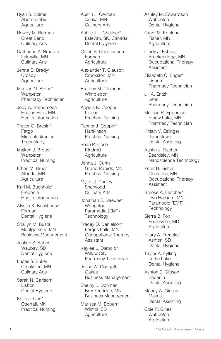Ryan S. Bolme Abercrombie **Agriculture** 

Rowdy M. Borman Great Bend Culinary Arts

Catherine A. Braaten Lakeville, MN Culinary Arts

Jenna C. Brady\* Crosby **Agriculture** 

Morgan N. Braun\* Wahpeton Pharmacy Technician

Jody A. Brendmoen Fergus Falls, MN Health Information

Trevor G. Bresin\* Fargo **Microelectronics Technology** 

Majken J. Breuer\* **Wahpeton** Practical Nursing

Ethan M. Bruer Alberta, MN **Agriculture** 

Kari M. Buchholz\* Fredonia Health Information

Alyssa K. Buckhouse Forman Dental Hygiene

Shailyn M. Busta Montgomery, MN Business Management

Justine S. Butler Waubay, SD Dental Hygiene

Lucas S. Butler Crookston, MN Culinary Arts

Sarah N. Carlson\* Lisbon Dental Hygiene

Katie J. Carr\* Ottertail, MN Practical Nursing Austin J. Cermak Anoka, MN Culinary Arts

Ashlie J.L. Challner\* Estevan, SK, Canada Dental Hygiene

Caleb S. Christianson Forman **Agriculture** 

Alexander T. Clauson Crookston, MN **Agriculture** 

Bradley M. Clemens Wimbledon **Agriculture** 

Angela K. Cooper Lisbon Practical Nursing

Tanner J. Coppin\* Hankinson Practical Nursing

Sean P. Cose Kindred **Agriculture** 

Jenna J. Curtis Grand Rapids, MN Practical Nursing

Mykal J. Daeley Sherwood Culinary Arts

Jonathan E. Daeuber **Wahpeton** Paramedic (EMT) **Technology** 

Tracey D. Danielson\* Fergus Falls, MN Occupational Therapy Assistant

Kaylee L. Diebold\* Willow City Pharmacy Technician

Jesse W. Doggett Oakes Business Management

Shelby L. Dohman Breckenridge, MN Business Management

Marissa M. Ebben\* Wilmot, SD **Agriculture** 

Ashley M. Edwardson **Wahpeton** Dental Hygiene

Grant M. Egeland Fisher, MN **Agriculture** 

Cindy J. Ekberg Breckenridge, MN Occupational Therapy Assistant

Elizabeth C. Enger\* Lisbon Pharmacy Technician

Jill A. Entzi\* Lehr Pharmacy Technician

Melissa R. Epperson Elbow Lake, MN Pharmacy Technician

Kristin V. Eslinger Jamestown Dental Assisting

Austin J. Fischer Beardsley, MN Nanoscience Technology

Peter B. Fisher Champlin, MN Occupational Therapy Assistant

Brooke A. Fletcher\* Two Harbors, MN Paramedic (EMT) **Technology** 

Sierra B. Fox Poolesville, MD **Agriculture** 

Hilary A. Frericks\* Ashton, SD Dental Hygiene

Taylor A. Fylling Turtle Lake Dental Hygiene

Ashton E. Gibson **Enderlin** Dental Assisting

Macey A. Giesen Makoti Dental Assisting

Cole R. Gilles **Wahpeton Agriculture**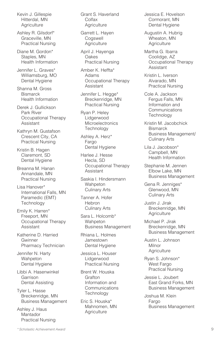Kevin J. Gillespie Hitterdal, MN **Agriculture** 

Ashley R. Gilsdorf\* Graceville, MN Practical Nursing

Diane M. Gordon\* Staples, MN Health Information

Jennifer L. Graves\* Williamsburg, MO Dental Hygiene

Shanna M. Gross **Bismarck** Health Information

Derek J. Gullickson Park River Occupational Therapy Assistant

Kathryn M. Gustafson Crescent City, CA Practical Nursing

Kristin B. Hagen Claremont, SD Dental Hygiene

Breanna M. Hanan Annandale, MN Practical Nursing

Lisa Hanover\* International Falls, MN Paramedic (EMT) **Technology** 

Emily K. Harren\* Freeport, MN Occupational Therapy Assistant

Katherine D. Harried Gwinner Pharmacy Technician

Jennifer N. Harty Wahpeton Dental Hygiene

Libbi A. Hasenwinkel Garrison Dental Assisting

Tyler L. Hasse Breckenridge, MN Business Management

Ashley J. Haus Mantador Practical Nursing Grant S. Haverland Colfax **Agriculture** 

Garrett L. Hayen **Cogswell Agriculture** 

April J. Hayenga Oakes Practical Nursing

Amber K. Heffta\* Adams Occupational Therapy Assistant

Jennifer L. Hegge\* Breckenridge, MN Practical Nursing

Ryan P. Heley Lidgerwood **Microelectronics Technology** 

Ashley A. Herz\* Fargo Dental Hygiene

Harlee J. Hesse Hecla, SD Occupational Therapy Assistant

Saskia I. Hindersmann **Wahpeton** Culinary Arts

Tanner A. Hofer **Hebron** Culinary Arts

Sara L. Holcomb\* **Wahpeton** Business Management

Rhiana L. Holmes Jamestown Dental Hygiene

Jessica L. Houser Lidgerwood Practical Nursing

Brent W. Houska Grafton Information and **Communications Technology** 

Eric S. Houska\* Mahnomen, MN **Agriculture** 

Jessica E. Hovelson Cormorant, MN Dental Hygiene

Augustin A. Hubrig Wheaton, MN **Agriculture** 

Martha G. Ibarra Coolidge, AZ Occupational Therapy Assistant

Kristin L. Iverson Alvarado, MN Practical Nursing

Cole A. Jackson Fergus Falls, MN Information and **Communications Technology** 

Kristin M. Jacobchick **Bismarck** Business Management/ Culinary Arts

Lila J. Jacobson\* Campbell, MN Health Information

Stephanie M. Jennen Elbow Lake, MN Business Management

Gena R. Jenniges\* Glenwood, MN Culinary Arts

Justin J. Jirak Breckenridge, MN **Agriculture** 

Michael P. Jirak Breckenridge, MN Business Management

Austin L. Johnson **Milnor Agriculture** 

Ryan S. Johnson\* West Fargo Practical Nursing

Jessie L. Joubert East Grand Forks, MN Business Management

Joshua M. Klein Fargo Business Management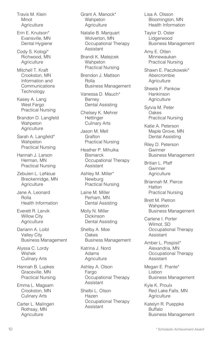Travis M. Klein Minot **Agriculture** 

Erin E. Knutson\* Evansville, MN Dental Hygiene

Cody S. Kologi\* Richwood, MN **Agriculture** 

Mitchell T. Kraft Crookston, MN Information and Communications **Technology** 

Kasey A. Lang West Fargo Practical Nursing

Brandon D. Langfeld **Wahpeton Agriculture** 

Sarah A. Langfeld\* Wahpeton Practical Nursing

Hannah J. Larson Herman, MN Practical Nursing

Zebulen L. LeNoue Breckenridge, MN **Agriculture** 

Jane A. Leonard Rolla Health Information

Everett R. Lervik Willow City **Agriculture** 

Dariann A. Loibl Valley City Business Management

Alyssa C. Lordy Wishek Culinary Arts

Hannah B. Lupkes Graceville, MN Practical Nursing

Emma L. Magsam Crookston, MN Culinary Arts

Carter L. Malingen Rothsay, MN **Agriculture** 

Grant A. Manock\* **Wahpeton Agriculture** 

Natalie B. Marquart Wolverton, MN Occupational Therapy Assistant

Brandi K. Matejcek **Wahpeton** Practical Nursing

Brendon J. Mattson Rolla Business Management

Vanessa D. Mauch\* Barney Dental Assisting

Chelsey K. Mehrer **Hettinger** Culinary Arts

Jason M. Mell **Grafton** Practical Nursing

Heather P. Mihulka **Bismarck** Occupational Therapy Assistant

Ashley M. Miller\* Newburg Practical Nursing

Laine M. Miller Perham, MN Dental Assisting

Molly N. Miller Dickinson Dental Assisting

Shelby A. Moe **Oakes** Business Management

Katrina J. Nord Adams **Agriculture** 

Ashley A. Olson Fargo Occupational Therapy Assistant

Shelbi L. Olson Hazen Occupational Therapy Assistant

Lisa A. Olsson Bloomington, MN Health Information

Taylor D. Oster Lidgerwood Business Management

Amy E. Otten Minnewaukan Practical Nursing

Shawn E. Paczkowski\* Abercrombie **Agriculture** 

Sheela F. Pankow Hankinson **Agriculture** 

Sylvia M. Peter Oakes Practical Nursing

Katie A. Peterson Maple Grove, MN Dental Assisting

Riley D. Peterson Gwinner Business Management

Britian L. Pfaff Gwinner **Agriculture** 

Briannah M. Pierce **Hatton** Practical Nursing

Brett M. Pietron Wahpeton Business Management

Carlene I. Porter Wilmot, SD Occupational Therapy Assistant

Amber L. Pospisil\* Alexandria, MN Occupational Therapy Assistant

Megan E. Prante\* **Lisbon** Business Management

Kyle K. Proulx Red Lake Falls, MN **Agriculture** 

Katelyn R. Pueppke Buffalo Business Management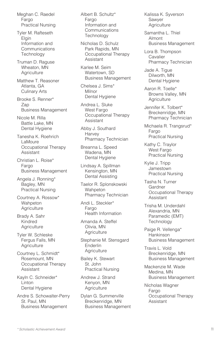Meghan C. Raedel Fargo Practical Nursing

Tyler M. Rafteseth Elgin Information and **Communications Technology** 

Truman D. Raguse Wheaton, MN **Agriculture** 

Matthew T. Reasoner Atlanta, GA Culinary Arts

Brooke S. Renner\* Zap Business Management

Nicole M. Rilla Battle Lake, MN Dental Hygiene

Tanesha K. Roehrich LaMoure Occupational Therapy Assistant

Christian L. Roise\* Fargo Business Management

Angela J. Ronning\* Bagley, MN Practical Nursing

Courtney A. Rossow\* **Wahpeton Agriculture** 

Brady A. Sahr Kindred **Agriculture** 

Tyler W. Schleske Fergus Falls, MN **Agriculture** 

Courtney L. Schmidt\* Rosemount, MN Occupational Therapy Assistant

Kayln C. Schneider\* Linton Dental Hygiene

Andre S. Schowalter-Perry St. Paul, MN Business Management

Albert B. Schultz\* Fargo Information and **Communications Technology** 

Nicholas D. Schulz Park Rapids, MN Occupational Therapy Assistant

Karlee M. Seim Watertown, SD Business Management

Chelsea J. Sims\* Milnor Dental Hygiene

Andrea L. Sluke West Fargo Occupational Therapy Assistant

Abby J. Southard **Harvey** Pharmacy Technician

Breanna L. Speed Wadena, MN Dental Hygiene

Lindsay A. Spillman Kensington, MN Dental Assisting

Taelor R. Splonskowski Wahpeton Pharmacy Technician

Andi L. Steckler\* Fargo Health Information

Amanda A. Steffel Olivia, MN **Agriculture** 

Stephanie M. Stensgard Enderlin **Agriculture** 

Bailey K. Stewart St. John Practical Nursing

Andrew J. Strand Kenyon, MN **Agriculture** 

Dylan G. Summerville Breckenridge, MN Business Management Kalissa K. Syverson Sawyer **Agriculture** 

Samantha L. Thiel Almont Business Management

Lora B. Thompson **Cavalier** Pharmacy Technician

Jade A. Tigue Dilworth, MN Dental Hygiene

Aaron R. Toelle\* Browns Valley, MN **Agriculture** 

Jennifer K. Tolbert\* Breckenridge, MN Pharmacy Technician

Michaela R. Trangsrud\* Fargo Practical Nursing

Kathy C. Traylor West Fargo Practical Nursing

Kylie J. Tripp Jamestown Practical Nursing

Tasha N. Turner Gardner Occupational Therapy Assistant

Trisha M. Underdahl Alexandria, MN Paramedic (EMT) **Technology** 

Paige R. Vellenga\* **Hankinson** Business Management

Travis L. Vold Breckenridge, MN Business Management

Mackenzie M. Wade Medina, MN Business Management

Nicholas Wagner Fargo Occupational Therapy Assistant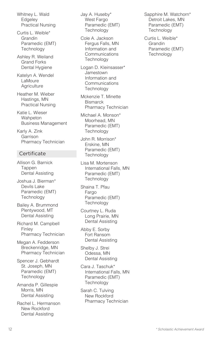Whitney L. Wald **Edgeley** Practical Nursing

Curtis L. Weible\* Grandin Paramedic (EMT) **Technology** 

Ashley R. Weiland Grand Forks Dental Hygiene

Katelyn A. Wendel LaMoure **Agriculture** 

Heather M. Wieber Hastings, MN Practical Nursing

Katie L. Wieser Wahpeton Business Management

Karly A. Zink Garrison Pharmacy Technician

#### **Certificate**

Allison G. Barnick Tappen Dental Assisting

Joshua J. Bierman\* Devils Lake Paramedic (EMT) **Technology** 

Bailey A. Brummond Plentywood, MT Dental Assisting

Richard M. Campbell Finley Pharmacy Technician

Megan A. Fedderson Breckenridge, MN Pharmacy Technician

Spencer J. Gebhardt St. Joseph, MN Paramedic (EMT) **Technology** 

Amanda P. Gillespie Morris, MN Dental Assisting

Rachel L. Hermanson New Rockford Dental Assisting

Jay A. Huseby\* West Fargo Paramedic (EMT) **Technology** 

Cole A. Jackson Fergus Falls, MN Information and **Communications Technology** 

Logan D. Kleinsasser\* Jamestown Information and **Communications Technology** 

Mckenzie T. Minette **Bismarck** Pharmacy Technician

Michael A. Monson\* Moorhead, MN Paramedic (EMT) **Technology** 

John R. Morrison\* Erskine, MN Paramedic (EMT) **Technology** 

Lisa M. Mortenson International Falls, MN Paramedic (EMT) **Technology** 

Shaina T. Pfau Fargo Paramedic (EMT) **Technology** 

Courtney L. Ruda Long Prairie, MN Dental Assisting

Abby E. Sorby Fort Ransom Dental Assisting

Shelby J. Strei Odessa, MN Dental Assisting

Cara J. Taschuk\* International Falls, MN Paramedic (EMT) **Technology** 

Sarah C. Tulving New Rockford Pharmacy Technician Sapphire M. Watchorn\* Detroit Lakes, MN Paramedic (EMT) **Technology** 

Curtis L. Weible\* **Grandin** Paramedic (EMT) **Technology**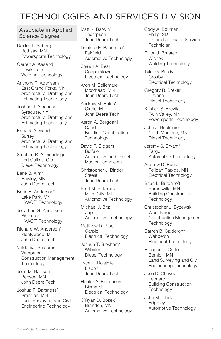# TECHNOLOGIES AND SERVICES DIVISION

#### Associate in Applied Science Degree

Dexter T. Aaberg Rothsay, MN Powersports Technology

Garrett A. Aasand Devils Lake Welding Technology

Anthony T. Adensam East Grand Forks, MN Architectural Drafting and Estimating Technology

Joshua J. Albanese Syracuse, NY Architectural Drafting and Estimating Technology

Kory G. Alexander Surrey Architectural Drafting and Estimating Technology

Stephen R. Allmendinger Fort Collins, CO Diesel Technology

Lane B. Alm\* Hawley, MN John Deere Tech

Brian E. Anderson\* Lake Park, MN HVAC/R Technology

Jonathon G. Anderson **Bismarck** HVAC/R Technology

Richard W. Anderson\* Plentywood, MT John Deere Tech

Valdemar Balderas Wahpeton Construction Management **Technology** 

John M. Baldwin Benson, MN John Deere Tech

Joshua P. Barsness\* Brandon, MN Land Surveying and Civil Engineering Technology

Matt K. Barwin\* **Thompson** John Deere Tech

Danielle E. Basaraba\* Fairfield Automotive Technology

Shawn A. Bear **Cooperstown** Electrical Technology

Aron M. Bellemare Moorhead, MN John Deere Tech

Andrew M. Belus\* Circle, MT John Deere Tech

Aaron A. Bergdahl Cando Building Construction **Technology** 

David F. Biggers Buffalo Automotive and Diesel Master Technician

Christopher J. Binder **Steele** John Deere Tech

Brett M. Birkeland Miles City, MT Automotive Technology

Michael J. Bitz Zap Automotive Technology

Matthew D. Block Carpio Electrical Technology

Joshua T. Bloxham\* Williston Diesel Technology

Tyce R. Boisjolie Lisbon John Deere Tech

Hunter A. Bondeson **Bismarck** Electrical Technology

O'Ryan D. Bosek\* Brandon, MN Automotive Technology Cody A. Bouman Philip, SD Caterpillar Dealer Service **Technician** 

Dillon J. Braaten Wishek Welding Technology

Tyler G. Brady Crosby Electrical Technology

Gregory R. Breker Havana Diesel Technology

Kristian S. Brevik Twin Valley, MN Powersports Technology

John J. Brielmaier North Mankato, MN Diesel Technology

Jeremy S. Bryant\* Fargo Automotive Technology

Andrew D. Buck Pelican Rapids, MN Electrical Technology

Brian L. Butenhoff\* Barnesville, MN Building Construction **Technology** 

Christopher J. Byzewski West Fargo Construction Management **Technology** 

Darren B. Calderon\* **Wahpeton** Electrical Technology

Brandon T. Carlson Bemidji, MN Land Surveying and Civil Engineering Technology

Jose D. Chavez Leonard Building Construction **Technology** 

John M. Clark **Edgeley** Automotive Technology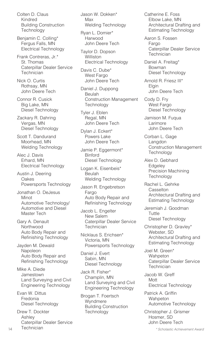Colten D. Claus Kindred Building Construction **Technology** 

Benjamin C. Colling\* Fergus Falls, MN Electrical Technology

Frank Contreras, Jr.\* St. Thomas Caterpillar Dealer Service Technician

Nick O. Curtis Rothsay, MN John Deere Tech

Connor R. Cusick Big Lake, MN Diesel Technology

Zackary R. Dahring Vergas, MN Diesel Technology

Scott T. Dandurand Moorhead, MN Welding Technology

Alec J. Davis Erhard, MN Electrical Technology

Austin J. Deering Oakes Powersports Technology

Jonathan O. DeJesus Minot Automotive Technology/ Automotive and Diesel Master Tech

Gary A. Denault Northwood Auto Body Repair and Refinishing Technology

Jayden M. Dewald Napoleon Auto Body Repair and Refinishing Technology

Mike A. Diede Jamestown Land Surveying and Civil Engineering Technology

Evan W. Dittus Fredonia Diesel Technology

Drew T. Dockter Ashley Caterpillar Dealer Service Technician

Jason W. Dokken\* Max Welding Technology

Ryan L. Domier\* Harwood John Deere Tech

Taylor D. Dopson Williston Electrical Technology

Davis C. Dube\* West Fargo John Deere Tech

Daniel J. Duppong Beulah Construction Management **Technology** 

Tyler J. Eblen Regal, MN John Deere Tech

Dylan J. Eckert\* Powers Lake John Deere Tech

Jamie P. Eggermont\* Binford Diesel Technology

Logan K. Eisenbeis\* Beulah Welding Technology

Jason R. Engebretson Fargo Auto Body Repair and Refinishing Technology

Jacob L. Engelter New Salem Caterpillar Dealer Service **Technician** 

Nicklaus S. Erichsen\* Victoria, MN Powersports Technology

Daniel J. Evert Sabin, MN Diesel Technology

Jack R. Fisher\* Champlin, MN Land Surveying and Civil Engineering Technology

Brogan T. Foertsch Wyndmere Building Construction **Technology** 

Catherine E. Foss Elbow Lake, MN Architectural Drafting and Estimating Technology

Aaron S. Fossen Fargo Caterpillar Dealer Service **Technician** 

Daniel A. Freitag\* Bowman Diesel Technology

Arnold R. Friesz III\* **Elgin** John Deere Tech

Cody D. Fry West Fargo Diesel Technology

Jamison M. Fuqua Larimore John Deere Tech

Corban L. Gage Langdon Construction Management **Technology** 

Alex D. Gebhard **Edgeley** Precision Machining **Technology** 

Rachel L. Gehrke **Casselton** Architectural Drafting and Estimating Technology

Jeremiah J. Goodman Tuttle Diesel Technology

Christopher D. Gravley\* Webster, SD Architectural Drafting and Estimating Technology

Joel M. Green\* Wahpeton Caterpillar Dealer Service **Technician** 

Jacob W. Greff Mott Electrical Technology

Patrick A. Griffin Wahpeton Automotive Technology

Christopher J. Grismer Hosmer, SD John Deere Tech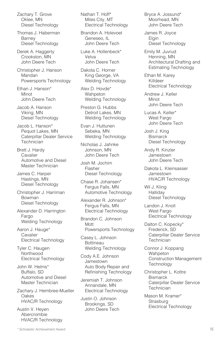Zachary T. Grove Oklee, MN Diesel Technology

Thomas J. Haberman Barney Diesel Technology

Derek A. Haggerty Crookston, MN John Deere Tech

Christopher J. Hanson Mandan Powersports Technology

Ethan J. Hanson\* Minot John Deere Tech

Jacob A. Hanson Viking, MN Diesel Technology

Jacob L. Hanson\* Pequot Lakes, MN Caterpillar Dealer Service **Technician** 

Brett J. Hardy Cavalier Automotive and Diesel Master Technician

James C. Harper Hastings, MN Diesel Technology

Christopher J. Harriman Bowman Diesel Technology

Alexander D. Harrington Fargo Welding Technology

Aaron J. Hauge\* Cavalier Electrical Technology

Tyler C. Haugen **Northwood** Electrical Technology

John W. Helms\* Buffalo, SD Automotive and Diesel Master Technician

Zachary J. Hembree-Mueller Oakes HVAC/R Technology

Austin V. Heyen Abercrombie HVAC/R Technology Nathan T. Hoff\* Miles City, MT Electrical Technology

Brandon A. Holevoet Geneseo, IL John Deere Tech

Luke A. Hollenbeck\* Velva John Deere Tech

Dakota C. Horner King George, VA Welding Technology

Alex D. Hovde\* **Wahpeton** Welding Technology

Preston G. Hubbs Detroit Lakes, MN Welding Technology

Evan J. Huttunen Sebeka, MN Welding Technology

Nicholas J. Jahnke Johnson, MN John Deere Tech

Josh M. Jochim Flasher Diesel Technology

Chase R. Johansen\* Fergus Falls, MN Automotive Technology

Alexander R. Johnson\* Fergus Falls, MN Electrical Technology

Brandon C. Johnson Mott Powersports Technology

Casey L. Johnson Bottineau Welding Technology

Cody A.E. Johnson **Jamestown** Auto Body Repair and Refinishing Technology

Jeremiah T. Johnson Annandale, MN Electrical Technology

Justin O. Johnson Brookings, SD John Deere Tech Bryce A. Jossund\* Moorhead, MN John Deere Tech

James R. Joyce Elgin Diesel Technology

Emily M. Juvrud Henning, MN Architectural Drafting and Estimating Technology

Ethan M. Karey Killdeer Electrical Technology

Andrew J. Keller Minot John Deere Tech

Lucas A. Keller\* West Fargo John Deere Tech

Josh J. King **Bismarck** Diesel Technology

Andy R. Kinzler Jamestown John Deere Tech

Dakota L. Kleinsasser Jamestown HVAC/R Technology

Wil J. Kling Halliday Diesel Technology

Landon J. Knoll West Fargo Electrical Technology

Dalton C. Kopecky\* Frederick, SD Caterpillar Dealer Service **Technician** 

Connor J. Koppang Wahpeton Construction Management **Technology** 

Christopher L. Kottre **Bismarck** Caterpillar Dealer Service **Technician** 

Mason M. Kramer\* Strasburg Electrical Technology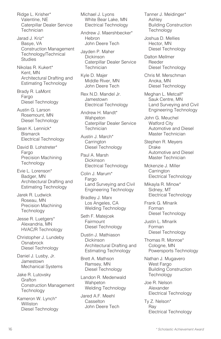Ridge L. Krisher\* Valentine, NE Caterpillar Dealer Service **Technician** 

Jarad J. Kriz\* Basye, VA Construction Management Technology/Technical **Studies** 

Nikolas R. Kukert\* Kent, MN Architectural Drafting and Estimating Technology

Brady R. LaMont Fargo Diesel Technology

Austin G. Larson Rosemount, MN Diesel Technology

Sean K. Lennick\* **Bismarck** Electrical Technology

David B. Lohstreter\* Fargo Precision Machining **Technology** 

Evie L. Lorenson\* Badger, MN Architectural Drafting and Estimating Technology

Jarek R. Ludwick Roseau, MN Precision Machining **Technology** 

Jesse R. Luetgers\* Alexandria, MN HVAC/R Technology

Christopher J. Lundeby **Osnabrock** Diesel Technology

Daniel J. Lusby, Jr. Jamestown Mechanical Systems

Jake R. Lutovsky **Grafton** Construction Management **Technology** 

Kameron W. Lynch\* **Williston** Diesel Technology Michael J. Lyons White Bear Lake, MN Electrical Technology

Andrew J. Maershbecker\* Hebron John Deere Tech

Jayden P. Maher Dickinson Caterpillar Dealer Service **Technician** 

Kyle D. Majer Middle River, MN John Deere Tech

Rex N.D. Mandel Jr. **Jamestown** Electrical Technology

Andrew H. Mandt\* **Wahpeton** Caterpillar Dealer Service **Technician** 

Austin J. March\* **Carrington** Diesel Technology

Paul A. Marsh Dickinson Electrical Technology

Colin J. Marum\* Fargo Land Surveying and Civil Engineering Technology

Bradley J. Marx Los Angeles, CA Welding Technology

Seth F. Matejcek Fairmount Diesel Technology

Dustin J. Mathiason Dickinson Architectural Drafting and Estimating Technology

Brett A. Mathson Ramsey, MN Diesel Technology

Landon R. Medenwald **Wahpeton** Welding Technology

Jared A.F. Meehl **Casselton** John Deere Tech Tanner J. Meidinger\* Ashley Building Construction **Technology** 

Joshua D. Mellies Hector, MN Diesel Technology

Dalton Mellmer Reeder Diesel Technology

Chris M. Merschman Anoka, MN Diesel Technology

Meghan L. Metcalf\* Sauk Centre, MN Land Surveying and Civil Engineering Technology

John G. Meuchel Watford City Automotive and Diesel Master Technician

Stephen R. Meyers **Drake** Automotive and Diesel Master Technician

Mckenzie J. Miller **Carrington** Electrical Technology

Mikayla R. Minow\* Sidney, MT Electrical Technology

Frank G. Mlnarik Forman Diesel Technology

Justin L. Mlnarik Forman Diesel Technology

Thomas R. Monroe\* Cologne, MN Powersports Technology

Nathan J. Mugavero West Fargo Building Construction **Technology** 

Joe R. Nelson Alexander Electrical Technology

Ty Z. Nelson\* Ray Electrical Technology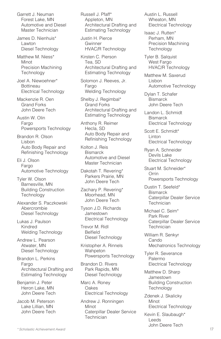Garrett J. Neuman Forest Lake, MN Automotive and Diesel Master Technician

James D. Nienhuis\* Lawton Diesel Technology

Matthew M. Niess\* Minot Precision Machining **Technology** 

Joel A. Niewoehner\* Bottineau Electrical Technology

Mackenzie R. Oen Grand Forks John Deere Tech

Austin W. Olin Fargo Powersports Technology

Brandon R. Olson Lisbon Auto Body Repair and Refinishing Technology

Eli J. Olson Fargo Automotive Technology

Tyler W. Olson Barnesville, MN Building Construction **Technology** 

Alexander S. Paczkowski Abercrombie Diesel Technology

Lukas J. Paulson Kindred Welding Technology

Andrew L. Pearson Atwater, MN Diesel Technology

Brandon L. Perkins Fargo Architectural Drafting and Estimating Technology

Benjamin J. Peter Heron Lake, MN John Deere Tech

Jacob M. Peterson Lake Lillian, MN John Deere Tech Russell J. Pfaff\* Appleton, MN Architectural Drafting and Estimating Technology

Justin H. Pierce **Gwinner** HVAC/R Technology

Kirsten C. Pierson Tea, SD Architectural Drafting and Estimating Technology

Solomon J. Reeves, Jr. Fargo Welding Technology

Shelby J. Regimbal\* Grand Forks Architectural Drafting and Estimating Technology

Anthony R. Reimer Hecla, SD Auto Body Repair and Refinishing Technology

Kolton J. Reis **Bismarck** Automotive and Diesel Master Technician

Dakotah T. Revering\* Parkers Prairie, MN John Deere Tech

Zachary P. Revering\* Moorhead, MN John Deere Tech

Tyson J.D. Richards Jamestown Electrical Technology

Trevor M. Ridl Belfield Diesel Technology

Kristopher A. Rinnels Wahpeton Powersports Technology

Brandon D. Rivers Park Rapids, MN Diesel Technology

Marc A. Roney Oakes Electrical Technology

Andrew J. Ronningen Minot Caterpillar Dealer Service **Technician** 

Austin L. Russell Wheaton, MN Electrical Technology

Isaac J. Rutten\* Perham, MN Precision Machining **Technology** 

Tyler B. Salquist West Fargo HVAC/R Technology

Matthew M. Saxerud Lisbon Automotive Technology

Dylan T. Schafer **Bismarck** John Deere Tech

Landon L. Schmidt **Bismarck** Electrical Technology

Scott E. Schmidt\* Linton Electrical Technology

Ryan A. Schneider Devils Lake Electrical Technology

Stuart M. Schneider\* **Orrin** Powersports Technology

Dustin T. Seefeld\* **Bismarck** Caterpillar Dealer Service **Technician** 

Michael C. Seim\* Park River Caterpillar Dealer Service **Technician** 

William R. Senkyr Cando Mechatronics Technology

Tyler R. Severance Palermo Electrical Technology

Matthew D. Sharp Jamestown Building Construction **Technology** 

Zdenek J. Skalicky Minot Electrical Technology

Kevin E. Slaubaugh\* Leeds John Deere Tech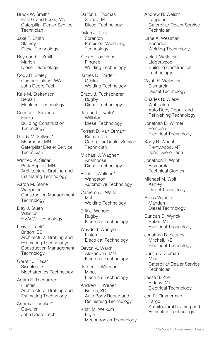Brock W. Smith\* East Grand Forks, MN Caterpillar Dealer Service Technician

Jake T. Smith **Stanley** Diesel Technology

Raymond L. Smith Marion Diesel Technology

Cody D. Staley Camano Island, WA John Deere Tech

Kale M. Steffenson Beulah Electrical Technology

Connor T. Stevens Fargo Building Construction **Technology** 

Grady M. Stillwell\* Moorhead, MN Caterpillar Dealer Service **Technician** 

Winfred A. Stinar Park Rapids, MN Architectural Drafting and Estimating Technology

Aaron M. Stone Wahpeton Construction Management **Technology** 

Ejay J. Stuen **Williston** HVAC/R Technology

Lexy L. Tank\* Britton, SD Architectural Drafting and Estimating Technology/ Construction Management **Technology** 

Garrett J. Tasa\* Sisseton, SD Mechatronics Technology

Adam E. Teegarden **Hunter** Architectural Drafting and Estimating Technology

Adam J. Thacker\* Cavalier John Deere Tech Dalton L. Thomas Sidney, MT Diesel Technology

Dylan J. Titus Scranton Precision Machining **Technology** 

Alex E. Tompkins Pingree Welding Technology

James D. Trader Oriska Welding Technology

Brady J. Tuchscherer Rugby Diesel Technology

Jordan L. Twete\* **Williston** Diesel Technology

Forrest D. Van Orman\* **Richardton** Caterpillar Dealer Service **Technician** 

Michael J. Wagner\* Anamoose Diesel Technology

Elijah T. Wallace\* Wahpeton Automotive Technology

Cameron J. Walsh Mott Welding Technology

Erik J. Wangler Rugby Electrical Technology

Wayde J. Wangler **Linton** Electrical Technology

Devon A. Ward\* Alexandria, MN Electrical Technology

Jorgen T. Warman Minot Electrical Technology

Andrew K. Weber Britton, SD Auto Body Repair and Refinishing Technology

Kristi M. Weikum Elgin Mechatronics Technology Andrew R. Welsh\* Langdon Caterpillar Dealer Service Technician

Lane A. Westman **Benedict** Welding Technology

Nick J. Wettstein Lidgerwood Building Construction **Technology** 

Wyatt R. Wetzstein **Bismarck** Diesel Technology

Charles R. Wieser **Wahpeton** Auto Body Repair and Refinishing Technology

Jonathan D. Wilmer Pembina Electrical Technology

Kody R. Woehl Plentywood, MT John Deere Tech

Jonathon T. Wohl\* **Bismarck** Technical Studies

Michael M. Wolf Ashley Diesel Technology

Brock Wynstra Mandan Diesel Technology

Duncan D. Wyrick Baker, MT Electrical Technology

Jonathan B. Yauney Mitchell, NE Electrical Technology

Dustin D. Zieman Minot Caterpillar Dealer Service Technician

Jesse S. Ziler Sidney, MT Electrical Technology

Jon R. Zimmerman Fargo Architectural Drafting and Estimating Technology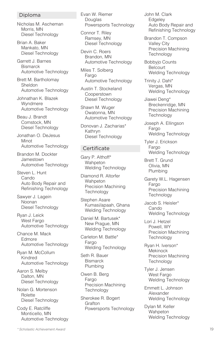#### Diploma

Nicholas M. Ascheman Morris, MN Diesel Technology

Brian A. Baker Mankato, MN Diesel Technology

Garrett J. Barnes **Bismarck** Automotive Technology

Brett M. Bartholomay Sheldon Automotive Technology

Johnathan K. Blazek Wyndmere Automotive Technology

Beau J. Brandt Comstock, MN Diesel Technology

Jonathan O. DeJesus Minot Automotive Technology

Brandon M. Dockter Jamestown Automotive Technology

Steven L. Hunt Cando Auto Body Repair and Refinishing Technology

Sawyer J. Lagein Noonan Diesel Technology

Ryan J. Leick West Fargo Automotive Technology

Chance M. Mack Edmore Automotive Technology

Ryan M. McCollum Kindred Automotive Technology

Aaron S. Melby Dalton, MN Diesel Technology

Nolan G. Mortenson **Rolette** Diesel Technology

Cody E. Ratcliffe Monticello, MN Automotive Technology Evan W. Riemer Douglas Powersports Technology

Connor T. Riley Ramsey, MN Diesel Technology

Devin C. Roers Brandon, MN Automotive Technology

Miles T. Solberg Fargo Automotive Technology

Austin T. Stockeland Cooperstown Diesel Technology

Shawn M. Wuger Owatonna, MN Automotive Technology

Donovan J. Zacharias\* Kathryn Diesel Technology

#### **Certificate**

Gary P. Althoff\* **Wahpeton** Welding Technology

Diamond R. Altorfer Wahpeton Precision Machining **Technology** 

Stephen Asare Kumasi/apaah, Ghana Welding Technology

Daniel M. Bartusek\* New Prague, MN Welding Technology

Carleton M. Battle\* Fargo Welding Technology

Seth R. Bauer **Bismarck** Plumbing

Owen B. Berg Fargo Precision Machining **Technology** 

Sherokee R. Bogert Grafton Powersports Technology John M. Clark **Edgeley** Auto Body Repair and Refinishing Technology

Brandon T. Compson Valley City Precision Machining **Technology** 

Bobbyjo Counts **Belcourt** Welding Technology

Trinity J. Dahl\* Vergas, MN Welding Technology

Jiawei Deng\* Breckenridge, MN Precision Machining **Technology** 

Joseph A. Ellingson Fargo Welding Technology

Tyler J. Erickson Fargo Welding Technology

Brett T. Grund Olivia, MN Plumbing

- Garety W.L. Hagensen Fargo Precision Machining **Technology**
- Jacob S. Heisler\* **Cando** Welding Technology

Lori J. Hetzel Powell, WY Precision Machining **Technology** 

Ryan H. Iverson\* **Mekinock** Precision Machining Technology

Tyler J. Jensen West Fargo Welding Technology

Emmett L. Johnson Alexander Welding Technology

Dylan M. Keller Wahpeton Welding Technology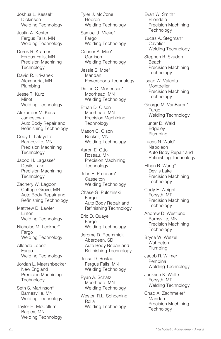Joshua L. Kessel\* **Dickinson** Welding Technology

Justin A. Kester Fergus Falls, MN Welding Technology

Derek R. Kramer Fergus Falls, MN Precision Machining **Technology** 

David R. Krivanek Alexandria, MN Plumbing

Jesse T. Kurz Minot Welding Technology

Alexander M. Kuss Jamestown Auto Body Repair and Refinishing Technology

Cody L. Lafayette Barnesville, MN Precision Machining **Technology** 

Jacob H. Lagasse\* Devils Lake Precision Machining **Technology** 

Zachery W. Lagoon Cottage Grove, MN Auto Body Repair and Refinishing Technology

Matthew D. Lawler Linton Welding Technology

Nicholas M. Leckner\* Fargo Welding Technology

Allende Lopez Fargo Welding Technology

Jordan L. Maershbecker New England Precision Machining **Technology** 

Seth S. Martinson\* Barnesville, MN Welding Technology

Taylor H. McCollum Bagley, MN Welding Technology Tyler J. McCone Hebron Welding Technology

Samuel J. Mieke\* Fargo Welding Technology

Conner A. Moe\* Garrison Welding Technology

Jessie S. Moe\* Mandan Powersports Technology

Dalton C. Mortenson\* Moorhead, MN Welding Technology

Ethan D. Olson Moorhead, MN Precision Machining **Technology** 

Mason C. Olson Becker, MN Welding Technology

Aaron E. Otto Roseau, MN Precision Machining **Technology** 

John E. Propsom\* **Casselton** Welding Technology

Chase G. Pulczinski Fargo Auto Body Repair and Refinishing Technology

Eric D. Quaye Fargo Welding Technology

Jerome D. Roemmick Aberdeen, SD Auto Body Repair and Refinishing Technology

Jesse D. Rostad Fergus Falls, MN Welding Technology

Ryan A. Schatz Moorhead, MN Welding Technology

Weston R.L. Schoening Rolla Welding Technology

Evan W. Smith\* Ellendale Precision Machining **Technology** 

Lucas A. Stegman\* Cavalier Welding Technology

Stephen R. Szudera Beach Precision Machining **Technology** 

Isaac W. Valenta **Montpelier** Precision Machining **Technology** 

George M. VanBuren\* Fargo Welding Technology

Hunter D. Wald **Edgeley** Plumbing

Lucas N. Wald\* Napoleon Auto Body Repair and Refinishing Technology

Ethan R. Wang\* Devils Lake Precision Machining **Technology** 

Cody E. Weight Forsyth, MT Precision Machining **Technology** 

Andrew D. Westlund Burnsville, MN Precision Machining **Technology** 

Bryce W. Wetzel Wahpeton Plumbing

Jacob R. Wilmer Pembina Welding Technology

Jackson K. Wolfe Forsyth, MT Welding Technology

Chad A. Zachmeier\* Mandan Precision Machining **Technology**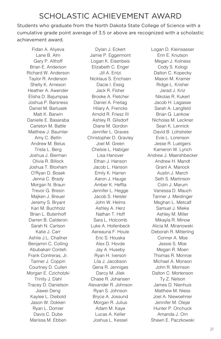# SCHOLASTIC ACHIEVEMENT AWARD

Students who graduate from the North Dakota State College of Science with a cumulative grade point average of 3.5 or above are recognized with a scholastic achievement award.

Fidan A. Aliyeva Lane B. Alm Gary P. Althoff Brian E. Anderson Richard W. Anderson Taylor R. Anderson Shelly K. Arneson Heather A. Awender Elisha D. Bajumpaa Joshua P. Barsness Daniel M. Bartusek Matt K. Barwin Danielle E. Basaraba Carleton M. Battle Matthew J. Baumler Amy C. Bellin Andrew M. Belus Trista L. Berg Joshua J. Bierman Olivia R. Billock Joshua T. Bloxham O'Ryan D. Bosek Jenna C. Brady Morgan N. Braun Trevor G. Bresin Majken J. Breuer Jeremy S. Bryant Kari M. Buchholz Brian L. Butenhoff Darren B. Calderon Sarah N. Carlson Katie J. Carr Ashlie J.L. Challner Benjamin C. Colling Abubakarr Conteh Frank Contreras, Jr. Tanner J. Coppin Courtney D. Cullen Morgan E. Czichotzki Trinity J. Dahl Tracey D. Danielson Jiawei Deng Kaylee L. Diebold Jason W. Dokken Ryan L. Domier Davis C. Dube Marissa M. Ebben

Dylan J. Eckert Jamie P. Eggermont Logan K. Eisenbeis Elizabeth C. Enger Jill A. Entzi Nicklaus S. Erichsen Dacie I. Essig Jack R. Fisher Brooke A. Fletcher Daniel A. Freitag Hilary A. Frericks Arnold R. Friesz III Ashley R. Gilsdorf Diane M. Gordon Jennifer L. Graves Christopher D. Gravley Joel M. Green Chelsie L. Habiger Lisa Hanover Ethan J. Hanson Jacob L. Hanson Emily K. Harren Aaron J. Hauge Amber K. Heffta Jennifer L. Hegge Jacob S. Heisler John W. Helms Ashley A. Herz Nathan T. Hoff Sara L. Holcomb Luke A. Hollenbeck Aereauna F. Houle Eric S. Houska Alex D. Hovde Jay A. Huseby Ryan H. Iverson Lila J. Jacobson Gena R. Jenniges Darcy M. Jilek Chase R. Johansen Alexander R. Johnson Ryan S. Johnson Bryce A. Jossund Morgan R. Julius Adam M. Kaye Lucas A. Keller Joshua L. Kessel

Logan D. Kleinsasser Erin E. Knutson Megan J. Kolness Cody S. Kologi Dalton C. Kopecky Mason M. Kramer Ridge L. Krisher Jarad J. Kriz Nikolas R. Kukert Jacob H. Lagasse Sarah A. Langfeld Brian G. Lankow Nicholas M. Leckner Sean K. Lennick David B. Lohstreter Evie L. Lorenson Jesse R. Luetgers Kameron W. Lynch Andrew J. Maershbecker Andrew H. Mandt Grant A. Manock Austin J. March Seth S. Martinson Colin J. Marum Vanessa D. Mauch Tanner J. Meidinger Meghan L. Metcalf Samuel J. Mieke Ashley M. Miller Mikayla R. Minow Alicia M. Miranowski Deborah R. Mitterling Conner A. Moe Jessie S. Moe Megan R. Moen Thomas R. Monroe Michael A. Monson John R. Morrison Dalton C. Mortenson Ty Z. Nelson James D. Nienhuis Matthew M. Niess Joel A. Niewoehner Jennifer M. Olejar Hunter P. Onchuck Amanda J. Orn Shawn E. Paczkowski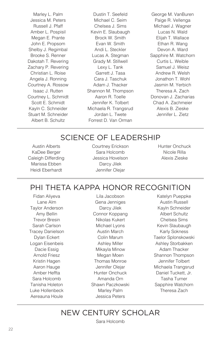Marley L. Palm Jessica M. Peters Russell J. Pfaff Amber L. Pospisil Megan E. Prante John E. Propsom Shelby J. Regimbal Brooke S. Renner Dakotah T. Revering Zachary P. Revering Christian L. Roise Angela J. Ronning Courtney A. Rossow Isaac J. Rutten Courtney L. Schmidt Scott E. Schmidt Kayln C. Schneider Stuart M. Schneider Albert B. Schultz

Dustin T. Seefeld Michael C. Seim Chelsea J. Sims Kevin E. Slaubaugh Brock W. Smith Evan W. Smith Andi L. Steckler Lucas A. Stegman Grady M. Stillwell Lexy L. Tank Garrett J. Tasa Cara J. Taschuk Adam J. Thacker Shannon M. Thompson Aaron R. Toelle Jennifer K. Tolbert Michaela R. Trangsrud Jordan L. Twete Forrest D. Van Orman

George M. VanBuren Paige R. Vellenga Michael J. Wagner Lucas N. Wald Elijah T. Wallace Ethan R. Wang Devon A. Ward Sapphire M. Watchorn Curtis L. Weible Samuel J. Weisz Andrew R. Welsh Jonathon T. Wohl Jasmin M. Yerbich Theresa A. Zach Donovan J. Zacharias Chad A. Zachmeier Alexis B. Zieske Jennifer L. Zietz

### SCIENCE OF LEADERSHIP

Austin Alberts KaDee Berger Caleigh Differding Marissa Ebben Heidi Eberhardt

Courtney Erickson Sara Holcomb Jessica Hovelson Darcy Jilek Jennifer Olejar

Hunter Onchuck Nicole Rilla Alexis Zieske

### PHI THETA KAPPA HONOR RECOGNITION

Fidan Aliyeva Lane Alm Taylor Anderson Amy Bellin Trevor Bresin Sarah Carlson Tracey Danielson Dylan Eckert Logan Eisenbeis Dacie Essig Arnold Friesz Kristin Hagen Aaron Hauge Amber Heffta Sara Holcomb Tanisha Holeton Luke Hollenbeck Aereauna Houle

Lila Jacobson Gena Jenniges Darcy Jilek Connor Koppang Nikolas Kukert Michael Lyons Austin March Colin Marum Ashley Miller Mikayla Minow Megan Moen Thomas Monroe Jennifer Olejar Hunter Onchuck Amanda Orn Shawn Paczkowski Marley Palm Jessica Peters

Katelyn Pueppke Austin Russell Kayln Schneider Albert Schultz Chelsea Sims Kevin Slaubaugh Karly Sokness Taelor Splonskowski Ashley Storbakken Adam Thacker Shannon Thompson Jennifer Tolbert Michaela Trangsrud Daniel Tuckett, Jr. Tasha Turner Sapphire Watchorn Theresa Zach

### NEW CENTURY SCHOLAR

Sara Holcomb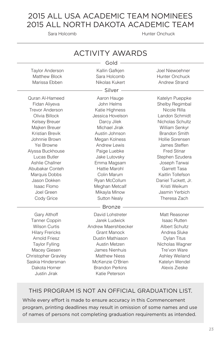### 2015 ALL USA ACADEMIC TEAM NOMINEES 2015 ALL NORTH DAKOTA ACADEMIC TEAM

Sara Holcomb **Hunter Onchuck** 

| <b>ACTIVITY AWARDS</b>     |                        |                       |  |  |
|----------------------------|------------------------|-----------------------|--|--|
| Gold                       |                        |                       |  |  |
| <b>Taylor Anderson</b>     | Kallin Gafkjen         | Joel Niewoehner       |  |  |
| <b>Matthew Block</b>       | Sara Holcomb           | Hunter Onchuck        |  |  |
| Marissa Ebben              | Nikolas Kukert         | <b>Andrew Strand</b>  |  |  |
|                            | Silver                 |                       |  |  |
| Quran Al-Hameed            | Aaron Hauge            | Katelyn Pueppke       |  |  |
| Fidan Aliyeva              | John Helms             | Shelby Regimbal       |  |  |
| <b>Trevor Anderson</b>     | Katie Highness         | Nicole Rilla          |  |  |
| Olivia Billock             | Jessica Hovelson       | Landon Schmidt        |  |  |
| Kelsey Breuer              | Darcy Jilek            | Nicholas Schultz      |  |  |
| Majken Breuer              | Michael Jirak          | William Senkyr        |  |  |
| <b>Kristian Brevik</b>     | Austin Johnson         | <b>Brandon Smith</b>  |  |  |
| Johnnie Brown              | Megan Kolness          | Hollie Sorensen       |  |  |
| Yei Browne                 | <b>Andrew Lewis</b>    | James Steffen         |  |  |
| Alyssa Buckhouse           | Paige Luebke           | <b>Fred Stinar</b>    |  |  |
| Lucas Butler               | Jake Lutovsky          | Stephen Szudera       |  |  |
| Ashlie Challner            | Emma Magsam            | Joseph Tarwai         |  |  |
| Abubakar Conteh            | Hattie Marohl          | Garrett Tasa          |  |  |
| Marquis Dobbs              | Colin Marum            | Kaitlin Tollefson     |  |  |
| Jason Dokken               | Ryan McCollum          | Daniel Tuckett, Jr.   |  |  |
| Isaac Flomo                | Meghan Metcalf         | Kristi Weikum         |  |  |
| Joel Green                 | Mikayla Minow          | Jasmin Yerbich        |  |  |
| Cody Grice                 | <b>Sutton Nealy</b>    | Theresa Zach          |  |  |
|                            | <b>Bronze</b>          |                       |  |  |
| Gary Althoff               | David Lohstreter       | Matt Reasoner         |  |  |
| Tanner Coppin              | Jarek Ludwick          | <b>Isaac Rutten</b>   |  |  |
| <b>Wilson Curtis</b>       | Andrew Maershbecker    | <b>Albert Schultz</b> |  |  |
| <b>Hilary Frericks</b>     | <b>Grant Manock</b>    | Andrea Sluke          |  |  |
| <b>Arnold Friesz</b>       | Dustin Mathiason       | Dylan Titus           |  |  |
| <b>Taylor Fylling</b>      | Austin Metzen          | Nicholas Wagner       |  |  |
| Macey Giesen               | James Nienhuis         | Tre'von Ware          |  |  |
| <b>Christopher Gravley</b> | <b>Matthew Niess</b>   | Ashley Weiland        |  |  |
| Saskia Hindersman          | McKenzie O'Brien       | Katelyn Wendel        |  |  |
| Dakota Horner              | <b>Brandon Perkins</b> | Alexis Zieske         |  |  |
| Justin Jirak               | Katie Peterson         |                       |  |  |

#### THIS PROGRAM IS NOT AN OFFICIAL GRADUATION LIST.

While every effort is made to ensure accuracy in this Commencement program, printing deadlines may result in omission of some names and use of names of persons not completing graduation requirements as intended.